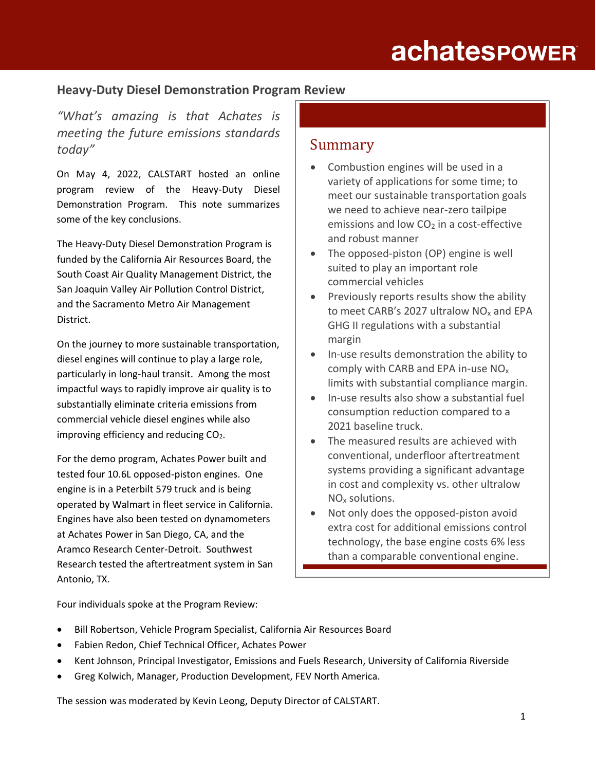# **achatespower**

### **Heavy-Duty Diesel Demonstration Program Review**

*"What's amazing is that Achates is meeting the future emissions standards today"*

On May 4, 2022, CALSTART hosted an online program review of the Heavy-Duty Diesel Demonstration Program. This note summarizes some of the key conclusions.

The Heavy-Duty Diesel Demonstration Program is funded by the California Air Resources Board, the South Coast Air Quality Management District, the San Joaquin Valley Air Pollution Control District, and the Sacramento Metro Air Management District.

On the journey to more sustainable transportation, diesel engines will continue to play a large role, particularly in long-haul transit. Among the most impactful ways to rapidly improve air quality is to substantially eliminate criteria emissions from commercial vehicle diesel engines while also improving efficiency and reducing  $CO<sub>2</sub>$ .

For the demo program, Achates Power built and tested four 10.6L opposed-piston engines. One engine is in a Peterbilt 579 truck and is being operated by Walmart in fleet service in California. Engines have also been tested on dynamometers at Achates Power in San Diego, CA, and the Aramco Research Center-Detroit. Southwest Research tested the aftertreatment system in San Antonio, TX.

### Summary

- Combustion engines will be used in a variety of applications for some time; to meet our sustainable transportation goals we need to achieve near-zero tailpipe emissions and low  $CO<sub>2</sub>$  in a cost-effective and robust manner
- The opposed-piston (OP) engine is well suited to play an important role commercial vehicles
- Previously reports results show the ability to meet CARB's 2027 ultralow NO<sub>x</sub> and EPA GHG II regulations with a substantial margin
- In-use results demonstration the ability to comply with CARB and EPA in-use NO<sup>x</sup> limits with substantial compliance margin.
- In-use results also show a substantial fuel consumption reduction compared to a 2021 baseline truck.
- The measured results are achieved with conventional, underfloor aftertreatment systems providing a significant advantage in cost and complexity vs. other ultralow NO<sup>x</sup> solutions.
- Not only does the opposed-piston avoid extra cost for additional emissions control technology, the base engine costs 6% less than a comparable conventional engine.

Four individuals spoke at the Program Review:

- Bill Robertson, Vehicle Program Specialist, California Air Resources Board
- Fabien Redon, Chief Technical Officer, Achates Power
- Kent Johnson, Principal Investigator, Emissions and Fuels Research, University of California Riverside
- Greg Kolwich, Manager, Production Development, FEV North America.

The session was moderated by Kevin Leong, Deputy Director of CALSTART.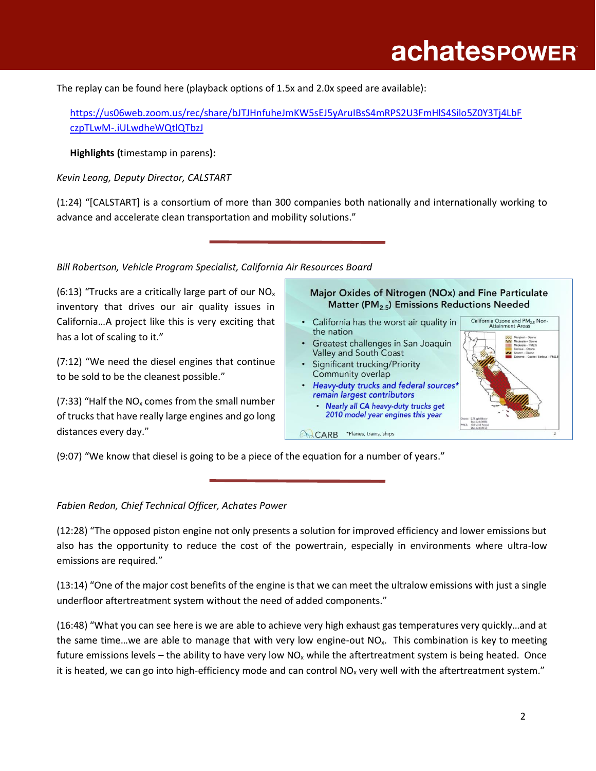The replay can be found here (playback options of 1.5x and 2.0x speed are available):

[https://us06web.zoom.us/rec/share/bJTJHnfuheJmKW5sEJ5yAruIBsS4mRPS2U3FmHlS4Silo5Z0Y3Tj4LbF](https://nam11.safelinks.protection.outlook.com/?url=https%3A%2F%2Fus06web.zoom.us%2Frec%2Fshare%2FbJTJHnfuheJmKW5sEJ5yAruIBsS4mRPS2U3FmHlS4Silo5Z0Y3Tj4LbFczpTLwM-.iULwdheWQtlQTbzJ&data=05%7C01%7C%7Cb576d61136e44392e64e08da2e236659%7Ca5b0a42672034bbaa95bf19ab824db63%7C0%7C1%7C637873026844881672%7CUnknown%7CTWFpbGZsb3d8eyJWIjoiMC4wLjAwMDAiLCJQIjoiV2luMzIiLCJBTiI6Ik1haWwiLCJXVCI6Mn0%3D%7C1000%7C%7C%7C&sdata=c%2BaoR8d7NMbLUwy7dZYrgTceQsmZIJ2cCAsMd%2B1I%2FmQ%3D&reserved=0) [czpTLwM-.iULwdheWQtlQTbzJ](https://nam11.safelinks.protection.outlook.com/?url=https%3A%2F%2Fus06web.zoom.us%2Frec%2Fshare%2FbJTJHnfuheJmKW5sEJ5yAruIBsS4mRPS2U3FmHlS4Silo5Z0Y3Tj4LbFczpTLwM-.iULwdheWQtlQTbzJ&data=05%7C01%7C%7Cb576d61136e44392e64e08da2e236659%7Ca5b0a42672034bbaa95bf19ab824db63%7C0%7C1%7C637873026844881672%7CUnknown%7CTWFpbGZsb3d8eyJWIjoiMC4wLjAwMDAiLCJQIjoiV2luMzIiLCJBTiI6Ik1haWwiLCJXVCI6Mn0%3D%7C1000%7C%7C%7C&sdata=c%2BaoR8d7NMbLUwy7dZYrgTceQsmZIJ2cCAsMd%2B1I%2FmQ%3D&reserved=0)

**Highlights (**timestamp in parens**):**

*Kevin Leong, Deputy Director, CALSTART*

(1:24) "[CALSTART] is a consortium of more than 300 companies both nationally and internationally working to advance and accelerate clean transportation and mobility solutions."

### *Bill Robertson, Vehicle Program Specialist, California Air Resources Board*

(6:13) "Trucks are a critically large part of our  $NO<sub>x</sub>$ inventory that drives our air quality issues in California…A project like this is very exciting that has a lot of scaling to it."

(7:12) "We need the diesel engines that continue to be sold to be the cleanest possible."

(7:33) "Half the  $NO<sub>x</sub>$  comes from the small number of trucks that have really large engines and go long distances every day."

#### Major Oxides of Nitrogen (NOx) and Fine Particulate Matter (PM<sub>2.5</sub>) Emissions Reductions Needed

- California has the worst air quality in the nation
- Greatest challenges in San Joaquin Valley and South Coast
- Significant trucking/Priority Community overlap
- Heavy-duty trucks and federal sources remain largest contributors
	- · Nearly all CA heavy-duty trucks get 2010 model year engines this year

CARB \*Planes, trains, ships



(9:07) "We know that diesel is going to be a piece of the equation for a number of years."

*Fabien Redon, Chief Technical Officer, Achates Power*

(12:28) "The opposed piston engine not only presents a solution for improved efficiency and lower emissions but also has the opportunity to reduce the cost of the powertrain, especially in environments where ultra-low emissions are required."

(13:14) "One of the major cost benefits of the engine is that we can meet the ultralow emissions with just a single underfloor aftertreatment system without the need of added components."

(16:48) "What you can see here is we are able to achieve very high exhaust gas temperatures very quickly…and at the same time...we are able to manage that with very low engine-out  $NO<sub>x</sub>$ . This combination is key to meeting future emissions levels – the ability to have very low  $NO_x$  while the aftertreatment system is being heated. Once it is heated, we can go into high-efficiency mode and can control  $NO<sub>x</sub>$  very well with the aftertreatment system."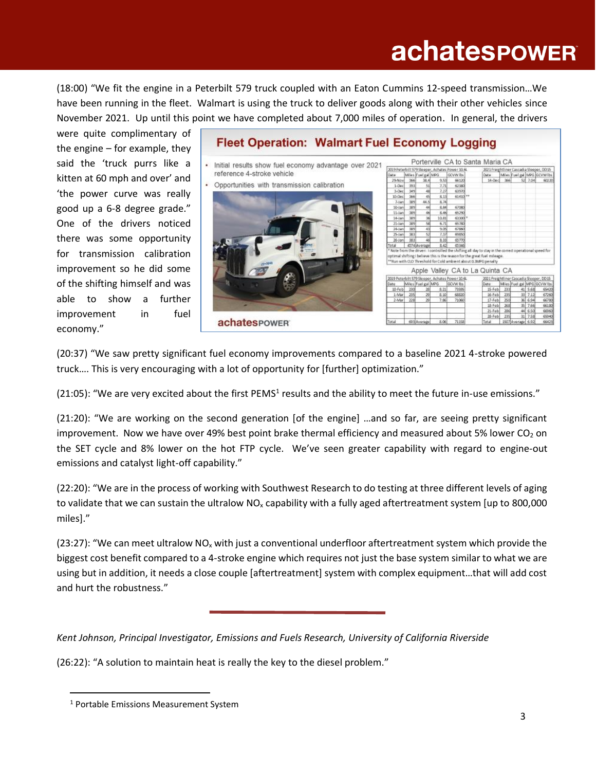# **achatespower**

(18:00) "We fit the engine in a Peterbilt 579 truck coupled with an Eaton Cummins 12-speed transmission…We have been running in the fleet. Walmart is using the truck to deliver goods along with their other vehicles since November 2021. Up until this point we have completed about 7,000 miles of operation. In general, the drivers

were quite complimentary of the engine – for example, they said the 'truck purrs like a kitten at 60 mph and over' and 'the power curve was really good up a 6-8 degree grade." One of the drivers noticed there was some opportunity for transmission calibration improvement so he did some of the shifting himself and was able to show a further improvement in fuel economy."



(20:37) "We saw pretty significant fuel economy improvements compared to a baseline 2021 4-stroke powered truck…. This is very encouraging with a lot of opportunity for [further] optimization."

(21:05): "We are very excited about the first PEMS<sup>1</sup> results and the ability to meet the future in-use emissions."

(21:20): "We are working on the second generation [of the engine] …and so far, are seeing pretty significant improvement. Now we have over 49% best point brake thermal efficiency and measured about 5% lower  $CO<sub>2</sub>$  on the SET cycle and 8% lower on the hot FTP cycle. We've seen greater capability with regard to engine-out emissions and catalyst light-off capability."

(22:20): "We are in the process of working with Southwest Research to do testing at three different levels of aging to validate that we can sustain the ultralow  $NO_x$  capability with a fully aged aftertreatment system [up to 800,000 miles]."

(23:27): "We can meet ultralow NO<sub>x</sub> with just a conventional underfloor aftertreatment system which provide the biggest cost benefit compared to a 4-stroke engine which requires not just the base system similar to what we are using but in addition, it needs a close couple [aftertreatment] system with complex equipment…that will add cost and hurt the robustness."

*Kent Johnson, Principal Investigator, Emissions and Fuels Research, University of California Riverside* 

(26:22): "A solution to maintain heat is really the key to the diesel problem."

<sup>1</sup> Portable Emissions Measurement System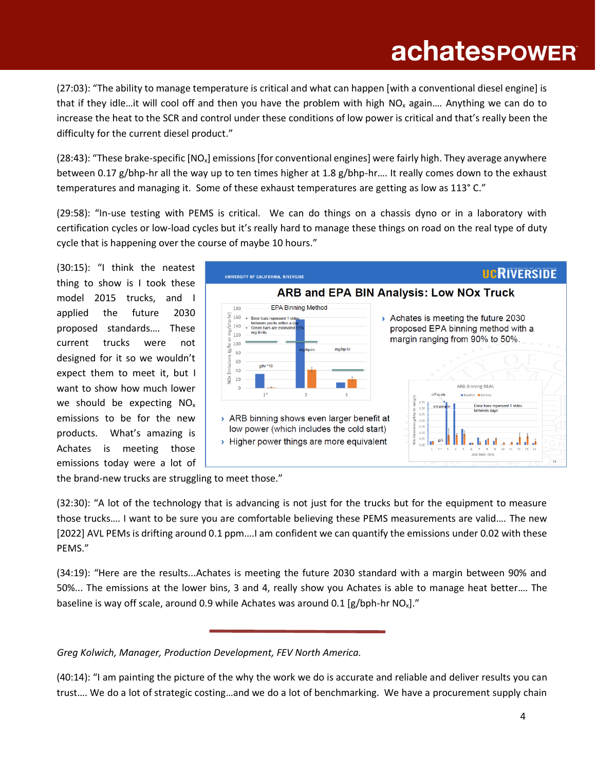# **achatespower**

(27:03): "The ability to manage temperature is critical and what can happen [with a conventional diesel engine] is that if they idle…it will cool off and then you have the problem with high  $NO<sub>x</sub>$  again.... Anything we can do to increase the heat to the SCR and control under these conditions of low power is critical and that's really been the difficulty for the current diesel product."

(28:43): "These brake-specific  $[NO_x]$  emissions [for conventional engines] were fairly high. They average anywhere between 0.17 g/bhp-hr all the way up to ten times higher at 1.8 g/bhp-hr…. It really comes down to the exhaust temperatures and managing it. Some of these exhaust temperatures are getting as low as 113° C."

(29:58): "In-use testing with PEMS is critical. We can do things on a chassis dyno or in a laboratory with certification cycles or low-load cycles but it's really hard to manage these things on road on the real type of duty cycle that is happening over the course of maybe 10 hours."

(30:15): "I think the neatest thing to show is I took these model 2015 trucks, and I applied the future 2030 proposed standards…. These current trucks were not designed for it so we wouldn't expect them to meet it, but I want to show how much lower we should be expecting NO<sup>x</sup> emissions to be for the new products. What's amazing is Achates is meeting those emissions today were a lot of



the brand-new trucks are struggling to meet those."

(32:30): "A lot of the technology that is advancing is not just for the trucks but for the equipment to measure those trucks…. I want to be sure you are comfortable believing these PEMS measurements are valid…. The new [2022] AVL PEMs is drifting around 0.1 ppm….I am confident we can quantify the emissions under 0.02 with these PEMS."

(34:19): "Here are the results...Achates is meeting the future 2030 standard with a margin between 90% and 50%... The emissions at the lower bins, 3 and 4, really show you Achates is able to manage heat better…. The baseline is way off scale, around 0.9 while Achates was around 0.1 [g/bph-hr  $NO_x$ ]."

*Greg Kolwich, Manager, Production Development, FEV North America.*

(40:14): "I am painting the picture of the why the work we do is accurate and reliable and deliver results you can trust…. We do a lot of strategic costing…and we do a lot of benchmarking. We have a procurement supply chain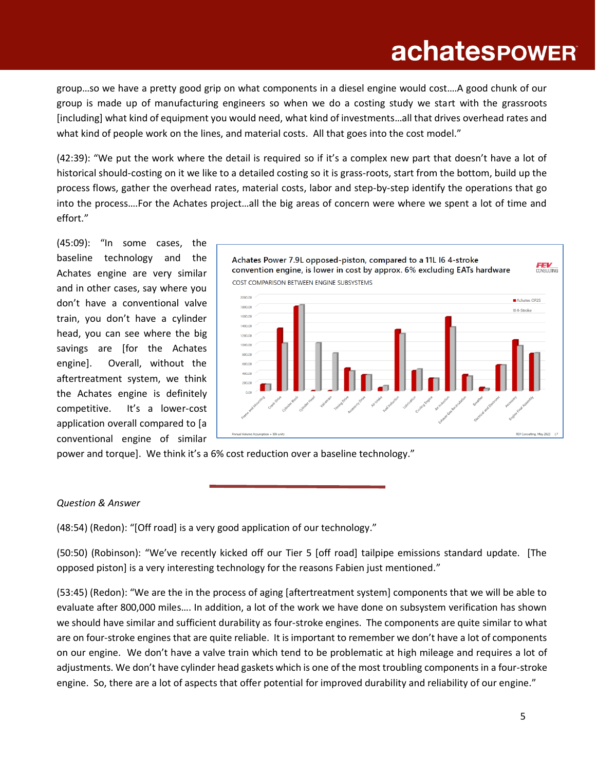group…so we have a pretty good grip on what components in a diesel engine would cost….A good chunk of our group is made up of manufacturing engineers so when we do a costing study we start with the grassroots [including] what kind of equipment you would need, what kind of investments…all that drives overhead rates and what kind of people work on the lines, and material costs. All that goes into the cost model."

(42:39): "We put the work where the detail is required so if it's a complex new part that doesn't have a lot of historical should-costing on it we like to a detailed costing so it is grass-roots, start from the bottom, build up the process flows, gather the overhead rates, material costs, labor and step-by-step identify the operations that go into the process….For the Achates project…all the big areas of concern were where we spent a lot of time and effort."

(45:09): "In some cases, the baseline technology and the Achates engine are very similar and in other cases, say where you don't have a conventional valve train, you don't have a cylinder head, you can see where the big savings are [for the Achates engine]. Overall, without the aftertreatment system, we think the Achates engine is definitely competitive. It's a lower-cost application overall compared to [a conventional engine of similar



power and torque]. We think it's a 6% cost reduction over a baseline technology."

#### *Question & Answer*

(48:54) (Redon): "[Off road] is a very good application of our technology."

(50:50) (Robinson): "We've recently kicked off our Tier 5 [off road] tailpipe emissions standard update. [The opposed piston] is a very interesting technology for the reasons Fabien just mentioned."

(53:45) (Redon): "We are the in the process of aging [aftertreatment system] components that we will be able to evaluate after 800,000 miles…. In addition, a lot of the work we have done on subsystem verification has shown we should have similar and sufficient durability as four-stroke engines. The components are quite similar to what are on four-stroke engines that are quite reliable. It is important to remember we don't have a lot of components on our engine. We don't have a valve train which tend to be problematic at high mileage and requires a lot of adjustments. We don't have cylinder head gaskets which is one of the most troubling components in a four-stroke engine. So, there are a lot of aspects that offer potential for improved durability and reliability of our engine."